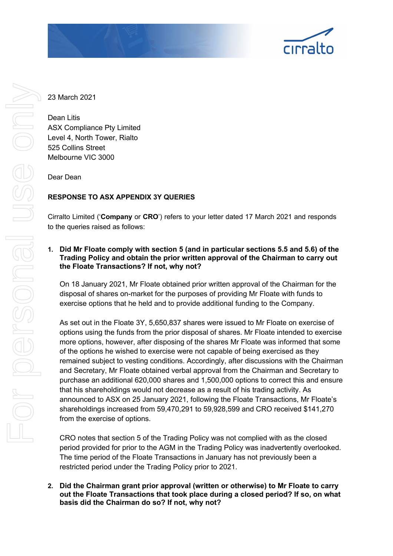

23 March 2021

Dean Litis ASX Compliance Pty Limited Level 4, North Tower, Rialto 525 Collins Street Melbourne VIC 3000

Dear Dean

# **RESPONSE TO ASX APPENDIX 3Y QUERIES**

Cirralto Limited ('**Company** or **CRO**') refers to your letter dated 17 March 2021 and responds to the queries raised as follows:

## **1. Did Mr Floate comply with section 5 (and in particular sections 5.5 and 5.6) of the Trading Policy and obtain the prior written approval of the Chairman to carry out the Floate Transactions? If not, why not?**

On 18 January 2021, Mr Floate obtained prior written approval of the Chairman for the disposal of shares on-market for the purposes of providing Mr Floate with funds to exercise options that he held and to provide additional funding to the Company.

As set out in the Floate 3Y, 5,650,837 shares were issued to Mr Floate on exercise of options using the funds from the prior disposal of shares. Mr Floate intended to exercise more options, however, after disposing of the shares Mr Floate was informed that some of the options he wished to exercise were not capable of being exercised as they remained subject to vesting conditions. Accordingly, after discussions with the Chairman and Secretary, Mr Floate obtained verbal approval from the Chairman and Secretary to purchase an additional 620,000 shares and 1,500,000 options to correct this and ensure that his shareholdings would not decrease as a result of his trading activity. As announced to ASX on 25 January 2021, following the Floate Transactions, Mr Floate's shareholdings increased from 59,470,291 to 59,928,599 and CRO received \$141,270 from the exercise of options.

CRO notes that section 5 of the Trading Policy was not complied with as the closed period provided for prior to the AGM in the Trading Policy was inadvertently overlooked. The time period of the Floate Transactions in January has not previously been a restricted period under the Trading Policy prior to 2021.

**2. Did the Chairman grant prior approval (written or otherwise) to Mr Floate to carry out the Floate Transactions that took place during a closed period? If so, on what basis did the Chairman do so? If not, why not?**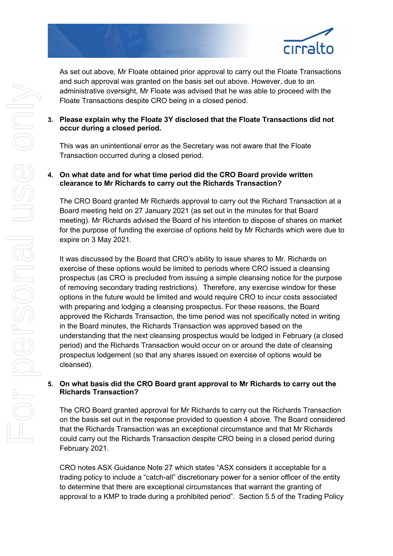

As set out above, Mr Floate obtained prior approval to carry out the Floate Transactions and such approval was granted on the basis set out above. However, due to an administrative oversight, Mr Floate was advised that he was able to proceed with the Floate Transactions despite CRO being in a closed period.

# **3. Please explain why the Floate 3Y disclosed that the Floate Transactions did not occur during a closed period.**

This was an unintentional error as the Secretary was not aware that the Floate Transaction occurred during a closed period.

## **4. On what date and for what time period did the CRO Board provide written clearance to Mr Richards to carry out the Richards Transaction?**

The CRO Board granted Mr Richards approval to carry out the Richard Transaction at a Board meeting held on 27 January 2021 (as set out in the minutes for that Board meeting). Mr Richards advised the Board of his intention to dispose of shares on market for the purpose of funding the exercise of options held by Mr Richards which were due to expire on 3 May 2021.

It was discussed by the Board that CRO's ability to issue shares to Mr. Richards on exercise of these options would be limited to periods where CRO issued a cleansing prospectus (as CRO is precluded from issuing a simple cleansing notice for the purpose of removing secondary trading restrictions). Therefore, any exercise window for these options in the future would be limited and would require CRO to incur costs associated with preparing and lodging a cleansing prospectus. For these reasons, the Board approved the Richards Transaction, the time period was not specifically noted in writing in the Board minutes, the Richards Transaction was approved based on the understanding that the next cleansing prospectus would be lodged in February (a closed period) and the Richards Transaction would occur on or around the date of cleansing prospectus lodgement (so that any shares issued on exercise of options would be cleansed).

# **5. On what basis did the CRO Board grant approval to Mr Richards to carry out the Richards Transaction?**

The CRO Board granted approval for Mr Richards to carry out the Richards Transaction on the basis set out in the response provided to question 4 above. The Board considered that the Richards Transaction was an exceptional circumstance and that Mr Richards could carry out the Richards Transaction despite CRO being in a closed period during February 2021.

CRO notes ASX Guidance Note 27 which states "ASX considers it acceptable for a trading policy to include a "catch-all" discretionary power for a senior officer of the entity to determine that there are exceptional circumstances that warrant the granting of approval to a KMP to trade during a prohibited period". Section 5.5 of the Trading Policy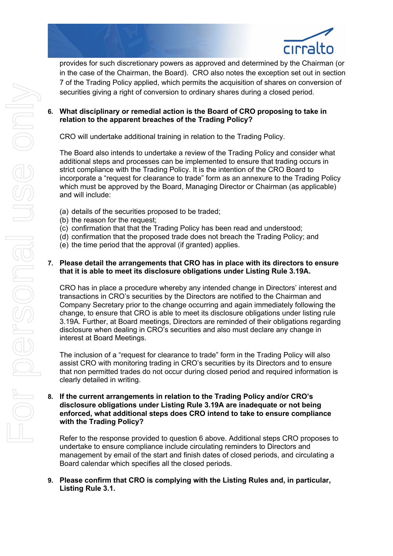

provides for such discretionary powers as approved and determined by the Chairman (or in the case of the Chairman, the Board). CRO also notes the exception set out in section 7 of the Trading Policy applied, which permits the acquisition of shares on conversion of securities giving a right of conversion to ordinary shares during a closed period.

**6. What disciplinary or remedial action is the Board of CRO proposing to take in relation to the apparent breaches of the Trading Policy?** 

CRO will undertake additional training in relation to the Trading Policy.

The Board also intends to undertake a review of the Trading Policy and consider what additional steps and processes can be implemented to ensure that trading occurs in strict compliance with the Trading Policy. It is the intention of the CRO Board to incorporate a "request for clearance to trade" form as an annexure to the Trading Policy which must be approved by the Board, Managing Director or Chairman (as applicable) and will include:

- (a) details of the securities proposed to be traded;
- (b) the reason for the request;
- (c) confirmation that that the Trading Policy has been read and understood;
- (d) confirmation that the proposed trade does not breach the Trading Policy; and
- (e) the time period that the approval (if granted) applies.

## **7. Please detail the arrangements that CRO has in place with its directors to ensure that it is able to meet its disclosure obligations under Listing Rule 3.19A.**

CRO has in place a procedure whereby any intended change in Directors' interest and transactions in CRO's securities by the Directors are notified to the Chairman and Company Secretary prior to the change occurring and again immediately following the change, to ensure that CRO is able to meet its disclosure obligations under listing rule 3.19A. Further, at Board meetings, Directors are reminded of their obligations regarding disclosure when dealing in CRO's securities and also must declare any change in interest at Board Meetings.

The inclusion of a "request for clearance to trade" form in the Trading Policy will also assist CRO with monitoring trading in CRO's securities by its Directors and to ensure that non permitted trades do not occur during closed period and required information is clearly detailed in writing.

**8. If the current arrangements in relation to the Trading Policy and/or CRO's disclosure obligations under Listing Rule 3.19A are inadequate or not being enforced, what additional steps does CRO intend to take to ensure compliance with the Trading Policy?** 

Refer to the response provided to question 6 above. Additional steps CRO proposes to undertake to ensure compliance include circulating reminders to Directors and management by email of the start and finish dates of closed periods, and circulating a Board calendar which specifies all the closed periods.

## **9. Please confirm that CRO is complying with the Listing Rules and, in particular, Listing Rule 3.1.**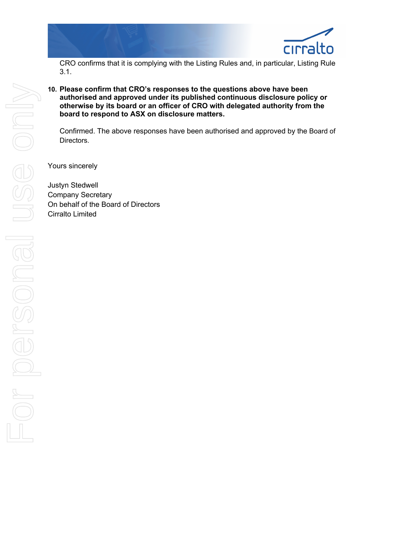

CRO confirms that it is complying with the Listing Rules and, in particular, Listing Rule 3.1.

**10. Please confirm that CRO's responses to the questions above have been authorised and approved under its published continuous disclosure policy or otherwise by its board or an officer of CRO with delegated authority from the board to respond to ASX on disclosure matters.** 

Confirmed. The above responses have been authorised and approved by the Board of Directors.

Yours sincerely

Justyn Stedwell Company Secretary On behalf of the Board of Directors Cirralto Limited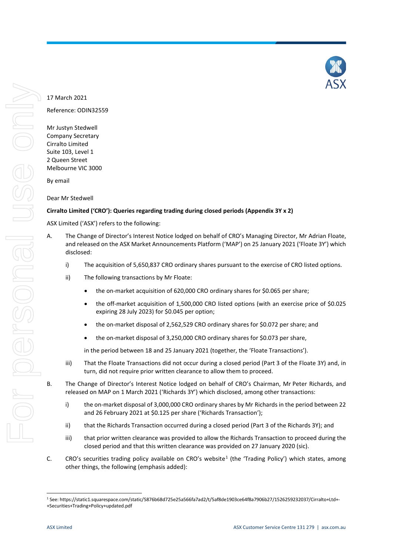Company Secretary Cirralto Limited Suite 103, Level 1 2 Queen Street Melbourne VIC 3000

17 March 2021

By email

Dear Mr Stedwell

## **Cirralto Limited ('CRO'): Queries regarding trading during closed periods (Appendix 3Y x 2)**

ASX Limited ('ASX') refers to the following:

- A. The Change of Director's Interest Notice lodged on behalf of CRO's Managing Director, Mr Adrian Floate, and released on the ASX Market Announcements Platform ('MAP') on 25 January 2021 ('Floate 3Y') which disclosed:
	- i) The acquisition of 5,650,837 CRO ordinary shares pursuant to the exercise of CRO listed options.
	- ii) The following transactions by Mr Floate:
		- the on-market acquisition of 620,000 CRO ordinary shares for \$0.065 per share;
		- the off-market acquisition of 1,500,000 CRO listed options (with an exercise price of \$0.025 expiring 28 July 2023) for \$0.045 per option;
		- the on-market disposal of 2,562,529 CRO ordinary shares for \$0.072 per share; and
		- the on-market disposal of 3,250,000 CRO ordinary shares for \$0.073 per share,

in the period between 18 and 25 January 2021 (together, the 'Floate Transactions').

- iii) That the Floate Transactions did not occur during a closed period (Part 3 of the Floate 3Y) and, in turn, did not require prior written clearance to allow them to proceed.
- B. The Change of Director's Interest Notice lodged on behalf of CRO's Chairman, Mr Peter Richards, and released on MAP on 1 March 2021 ('Richards 3Y') which disclosed, among other transactions:
	- i) the on-market disposal of 3,000,000 CRO ordinary shares by Mr Richards in the period between 22 and 26 February 2021 at \$0.125 per share ('Richards Transaction');
	- ii) that the Richards Transaction occurred during a closed period (Part 3 of the Richards 3Y); and
	- iii) that prior written clearance was provided to allow the Richards Transaction to proceed during the closed period and that this written clearance was provided on 27 January 2020 (sic).
- C. CRO's securities trading policy available on CRO's website<sup>[1](#page-4-0)</sup> (the 'Trading Policy') which states, among other things, the following (emphasis added):

<span id="page-4-0"></span> <sup>1</sup> See: https://static1.squarespace.com/static/5876b68d725e25a566fa7ad2/t/5af8de1903ce64f8a7906b27/1526259232037/Cirralto+Ltd+- +Securities+Trading+Policy+updated.pdf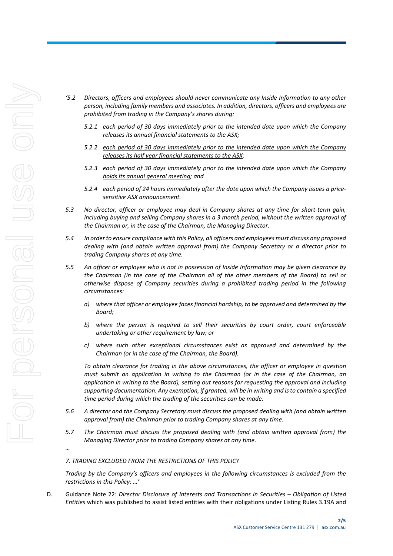*…*

- *'5.2 Directors, officers and employees should never communicate any Inside Information to any other person, including family members and associates. In addition, directors, officers and employees are prohibited from trading in the Company's shares during:* 
	- *5.2.1 each period of 30 days immediately prior to the intended date upon which the Company releases its annual financial statements to the ASX;*
	- *5.2.2 each period of 30 days immediately prior to the intended date upon which the Company releases its half year financial statements to the ASX;*
	- *5.2.3 each period of 30 days immediately prior to the intended date upon which the Company holds its annual general meeting; and*
	- *5.2.4 each period of 24 hours immediately after the date upon which the Company issues a price‐ sensitive ASX announcement.*
- *5.3 No director, officer or employee may deal in Company shares at any time for short‐term gain, including buying and selling Company shares in a 3 month period, without the written approval of the Chairman or, in the case of the Chairman, the Managing Director.*
- *5.4 In order to ensure compliance with this Policy, all officers and employees must discuss any proposed dealing with (and obtain written approval from) the Company Secretary or a director prior to trading Company shares at any time.*
- *5.5 An officer or employee who is not in possession of Inside Information may be given clearance by the Chairman (in the case of the Chairman all of the other members of the Board) to sell or otherwise dispose of Company securities during a prohibited trading period in the following circumstances:*
	- *a) where that officer or employee faces financial hardship, to be approved and determined by the Board;*
	- *b) where the person is required to sell their securities by court order, court enforceable undertaking or other requirement by law; or*
	- *c) where such other exceptional circumstances exist as approved and determined by the Chairman (or in the case of the Chairman, the Board).*

*To obtain clearance for trading in the above circumstances, the officer or employee in question must submit an application in writing to the Chairman (or in the case of the Chairman, an application in writing to the Board), setting out reasons for requesting the approval and including supporting documentation. Any exemption, if granted, will be in writing and is to contain a specified time period during which the trading of the securities can be made.* 

- *5.6 A director and the Company Secretary must discuss the proposed dealing with (and obtain written approval from) the Chairman prior to trading Company shares at any time.*
- *5.7 The Chairman must discuss the proposed dealing with (and obtain written approval from) the Managing Director prior to trading Company shares at any time.*

### *7. TRADING EXCLUDED FROM THE RESTRICTIONS OF THIS POLICY*

*Trading by the Company's officers and employees in the following circumstances is excluded from the restrictions in this Policy: …'*

D. Guidance Note 22: *Director Disclosure of Interests and Transactions in Securities – Obligation of Listed Entities* which was published to assist listed entities with their obligations under Listing Rules 3.19A and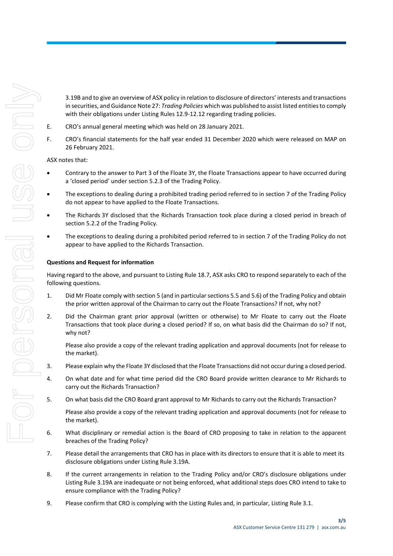3.19B and to give an overview of ASX policy in relation to disclosure of directors' interests and transactions in securities, and Guidance Note 27: *Trading Policies* which was published to assist listed entities to comply with their obligations under Listing Rules 12.9-12.12 regarding trading policies.

- E. CRO's annual general meeting which was held on 28 January 2021.
- F. CRO's financial statements for the half year ended 31 December 2020 which were released on MAP on 26 February 2021.

### ASX notes that:

- Contrary to the answer to Part 3 of the Floate 3Y, the Floate Transactions appear to have occurred during a 'closed period' under section 5.2.3 of the Trading Policy.
- The exceptions to dealing during a prohibited trading period referred to in section 7 of the Trading Policy do not appear to have applied to the Floate Transactions.
- The Richards 3Y disclosed that the Richards Transaction took place during a closed period in breach of section 5.2.2 of the Trading Policy.
- The exceptions to dealing during a prohibited period referred to in section 7 of the Trading Policy do not appear to have applied to the Richards Transaction.

### **Questions and Request for information**

Having regard to the above, and pursuant to Listing Rule 18.7, ASX asks CRO to respond separately to each of the following questions.

- 1. Did Mr Floate comply with section 5 (and in particular sections 5.5 and 5.6) of the Trading Policy and obtain the prior written approval of the Chairman to carry out the Floate Transactions? If not, why not?
- 2. Did the Chairman grant prior approval (written or otherwise) to Mr Floate to carry out the Floate Transactions that took place during a closed period? If so, on what basis did the Chairman do so? If not, why not?

Please also provide a copy of the relevant trading application and approval documents (not for release to the market).

- 3. Please explain why the Floate 3Y disclosed that the Floate Transactions did not occur during a closed period.
- 4. On what date and for what time period did the CRO Board provide written clearance to Mr Richards to carry out the Richards Transaction?
- 5. On what basis did the CRO Board grant approval to Mr Richards to carry out the Richards Transaction?

Please also provide a copy of the relevant trading application and approval documents (not for release to the market).

- 6. What disciplinary or remedial action is the Board of CRO proposing to take in relation to the apparent breaches of the Trading Policy?
- 7. Please detail the arrangements that CRO has in place with its directors to ensure that it is able to meet its disclosure obligations under Listing Rule 3.19A.
- 8. If the current arrangements in relation to the Trading Policy and/or CRO's disclosure obligations under Listing Rule 3.19A are inadequate or not being enforced, what additional steps does CRO intend to take to ensure compliance with the Trading Policy?
- 9. Please confirm that CRO is complying with the Listing Rules and, in particular, Listing Rule 3.1.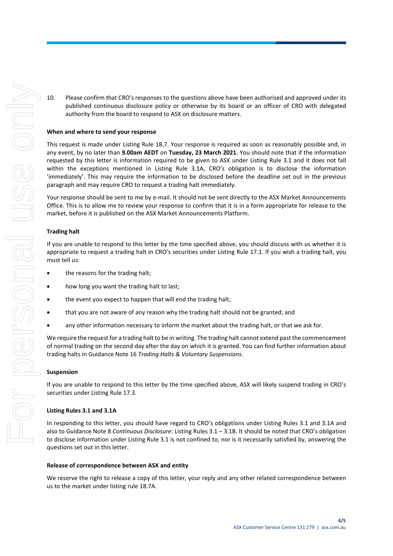10. Please confirm that CRO's responses to the questions above have been authorised and approved under its published continuous disclosure policy or otherwise by its board or an officer of CRO with delegated authority from the board to respond to ASX on disclosure matters.

#### **When and where to send your response**

This request is made under Listing Rule 18.7. Your response is required as soon as reasonably possible and, in any event, by no later than **9.00am AEDT** on **Tuesday, 23 March 2021**. You should note that if the information requested by this letter is information required to be given to ASX under Listing Rule 3.1 and it does not fall within the exceptions mentioned in Listing Rule 3.1A, CRO's obligation is to disclose the information 'immediately'. This may require the information to be disclosed before the deadline set out in the previous paragraph and may require CRO to request a trading halt immediately.

Your response should be sent to me by e-mail. It should not be sent directly to the ASX Market Announcements Office. This is to allow me to review your response to confirm that it is in a form appropriate for release to the market, before it is published on the ASX Market Announcements Platform.

#### **Trading halt**

If you are unable to respond to this letter by the time specified above, you should discuss with us whether it is appropriate to request a trading halt in CRO's securities under Listing Rule 17.1. If you wish a trading halt, you must tell us:

- the reasons for the trading halt;
- how long you want the trading halt to last;
- the event you expect to happen that will end the trading halt;
- that you are not aware of any reason why the trading halt should not be granted; and
- any other information necessary to inform the market about the trading halt, or that we ask for.

We require the request for a trading halt to be in writing. The trading halt cannot extend past the commencement of normal trading on the second day after the day on which it is granted. You can find further information about trading halts in Guidance Note 16 *Trading Halts & Voluntary Suspensions*.

#### **Suspension**

If you are unable to respond to this letter by the time specified above, ASX will likely suspend trading in CRO's securities under Listing Rule 17.3.

#### **Listing Rules 3.1 and 3.1A**

In responding to this letter, you should have regard to CRO's obligations under Listing Rules 3.1 and 3.1A and also to Guidance Note 8 *Continuous Disclosure*: Listing Rules 3.1 – 3.1B. It should be noted that CRO's obligation to disclose information under Listing Rule 3.1 is not confined to, nor is it necessarily satisfied by, answering the questions set out in this letter.

#### **Release of correspondence between ASX and entity**

We reserve the right to release a copy of this letter, your reply and any other related correspondence between us to the market under listing rule 18.7A.